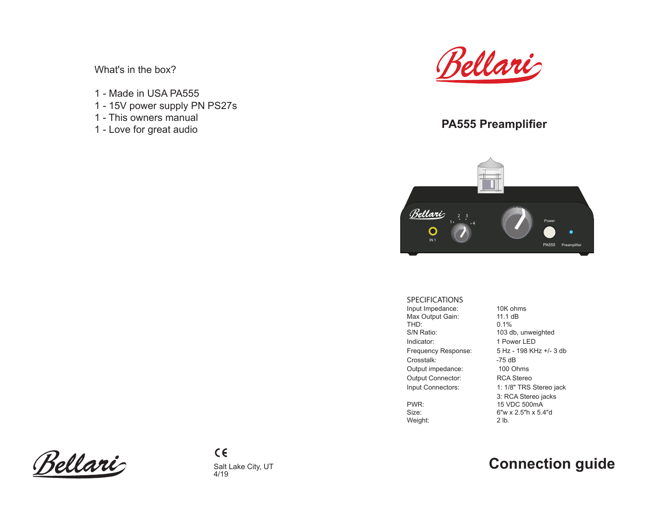What's in the box?

- 1 Made in USA PA555
- 1 15V power supply PN PS27s
- 1 This owners manual
- 1 Love for great audio



# **PA555 Preamplifier**



#### SPECIFICATIONS

Input Impedance: 10K ohms<br>Max Output Gain: 11.1 dB Max Output Gain:<br>THD: THD: 0.1%<br>S/N Ratio: 0.1% Indicator: 1 Power LED Crosstalk: -75 dB Output impedance: 100 Ohms Output Connector: RCA Stereo

Weight:

103 db, unweighted Frequency Response: 5 Hz - 198 KHz +/- 3 db Input Connectors: 1: 1/8" TRS Stereo jack 3: RCA Stereo jacks<br>PWR: 15 VDC 500mA PWR: 15 VDC 500mA<br>Size: 6"w x 2.5"h x 5.4 6"w x 2.5"h x 5.4"d<br>2 lb.

Bellari

# Salt Lake City, UT **Connection guide**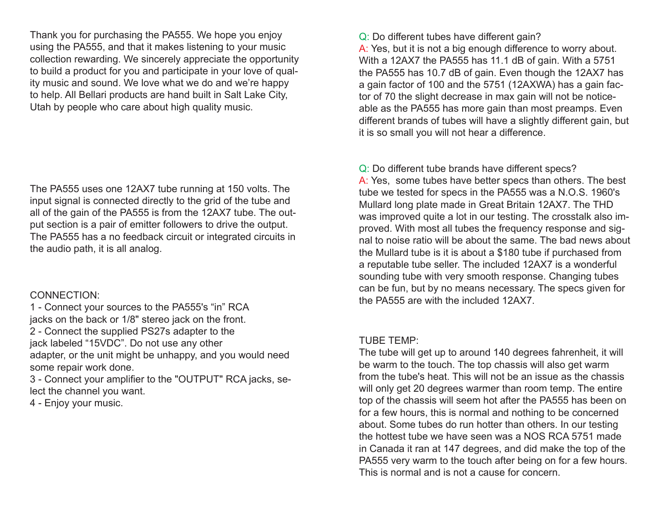Thank you for purchasing the PA555. We hope you enjoy using the PA555, and that it makes listening to your music collection rewarding. We sincerely appreciate the opportunity to build a product for you and participate in your love of quality music and sound. We love what we do and we're happy to help. All Bellari products are hand built in Salt Lake City, Utah by people who care about high quality music.

The PA555 uses one 12AX7 tube running at 150 volts. The input signal is connected directly to the grid of the tube and all of the gain of the PA555 is from the 12AX7 tube. The output section is a pair of emitter followers to drive the output. The PA555 has a no feedback circuit or integrated circuits in the audio path, it is all analog.

#### CONNECTION:

1 - Connect your sources to the PA555's "in" RCA jacks on the back or 1/8" stereo jack on the front. 2 - Connect the supplied PS27s adapter to the jack labeled "15VDC". Do not use any other adapter, or the unit might be unhappy, and you would need some repair work done.

3 - Connect your amplifier to the "OUTPUT" RCA jacks, select the channel you want.

4 - Enjoy your music.

Q: Do different tubes have different gain?

A: Yes, but it is not a big enough difference to worry about. With a 12AX7 the PA555 has 11.1 dB of gain. With a 5751 the PA555 has 10.7 dB of gain. Even though the 12AX7 has a gain factor of 100 and the 5751 (12AXWA) has a gain factor of 70 the slight decrease in max gain will not be noticeable as the PA555 has more gain than most preamps. Even different brands of tubes will have a slightly different gain, but it is so small you will not hear a difference.

Q: Do different tube brands have different specs? A: Yes, some tubes have better specs than others. The best tube we tested for specs in the PA555 was a N.O.S. 1960's Mullard long plate made in Great Britain 12AX7. The THD was improved quite a lot in our testing. The crosstalk also improved. With most all tubes the frequency response and signal to noise ratio will be about the same. The bad news about the Mullard tube is it is about a \$180 tube if purchased from a reputable tube seller. The included 12AX7 is a wonderful sounding tube with very smooth response. Changing tubes can be fun, but by no means necessary. The specs given for the PA555 are with the included 12AX7.

#### TUBE TEMP:

The tube will get up to around 140 degrees fahrenheit, it will be warm to the touch. The top chassis will also get warm from the tube's heat. This will not be an issue as the chassis will only get 20 degrees warmer than room temp. The entire top of the chassis will seem hot after the PA555 has been on for a few hours, this is normal and nothing to be concerned about. Some tubes do run hotter than others. In our testing the hottest tube we have seen was a NOS RCA 5751 made in Canada it ran at 147 degrees, and did make the top of the PA555 very warm to the touch after being on for a few hours. This is normal and is not a cause for concern.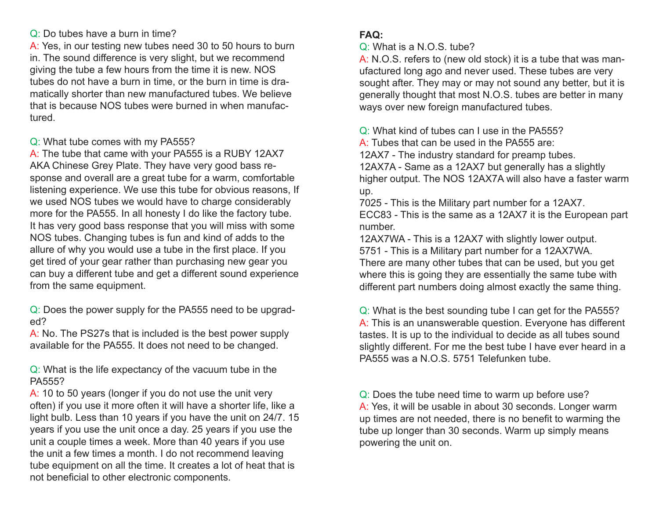### Q: Do tubes have a burn in time?

A: Yes, in our testing new tubes need 30 to 50 hours to burn in. The sound difference is very slight, but we recommend giving the tube a few hours from the time it is new. NOS tubes do not have a burn in time, or the burn in time is dramatically shorter than new manufactured tubes. We believe that is because NOS tubes were burned in when manufactured.

Q: What tube comes with my PA555?

A: The tube that came with your PA555 is a RUBY 12AX7 AKA Chinese Grey Plate. They have very good bass response and overall are a great tube for a warm, comfortable listening experience. We use this tube for obvious reasons, If we used NOS tubes we would have to charge considerably more for the PA555. In all honesty I do like the factory tube. It has very good bass response that you will miss with some NOS tubes. Changing tubes is fun and kind of adds to the allure of why you would use a tube in the first place. If you get tired of your gear rather than purchasing new gear you can buy a different tube and get a different sound experience from the same equipment.

Q: Does the power supply for the PA555 need to be upgraded?

A: No. The PS27s that is included is the best power supply available for the PA555. It does not need to be changed.

Q: What is the life expectancy of the vacuum tube in the PA555?

A: 10 to 50 years (longer if you do not use the unit very often) if you use it more often it will have a shorter life, like a light bulb. Less than 10 years if you have the unit on 24/7. 15 years if you use the unit once a day. 25 years if you use the unit a couple times a week. More than 40 years if you use the unit a few times a month. I do not recommend leaving tube equipment on all the time. It creates a lot of heat that is not beneficial to other electronic components.

## **FAQ:**

Q: What is a N.O.S. tube?

A: N.O.S. refers to (new old stock) it is a tube that was manufactured long ago and never used. These tubes are very sought after. They may or may not sound any better, but it is generally thought that most N.O.S. tubes are better in many ways over new foreign manufactured tubes.

Q: What kind of tubes can I use in the PA555?

- A: Tubes that can be used in the PA555 are:
- 12AX7 The industry standard for preamp tubes.

12AX7A - Same as a 12AX7 but generally has a slightly higher output. The NOS 12AX7A will also have a faster warm up.

7025 - This is the Military part number for a 12AX7.

ECC83 - This is the same as a 12AX7 it is the European part number.

12AX7WA - This is a 12AX7 with slightly lower output.

5751 - This is a Military part number for a 12AX7WA. There are many other tubes that can be used, but you get where this is going they are essentially the same tube with

different part numbers doing almost exactly the same thing.

Q: What is the best sounding tube I can get for the PA555? A: This is an unanswerable question. Everyone has different tastes. It is up to the individual to decide as all tubes sound slightly different. For me the best tube I have ever heard in a PA555 was a N.O.S. 5751 Telefunken tube.

Q: Does the tube need time to warm up before use? A: Yes, it will be usable in about 30 seconds. Longer warm up times are not needed, there is no benefit to warming the tube up longer than 30 seconds. Warm up simply means powering the unit on.